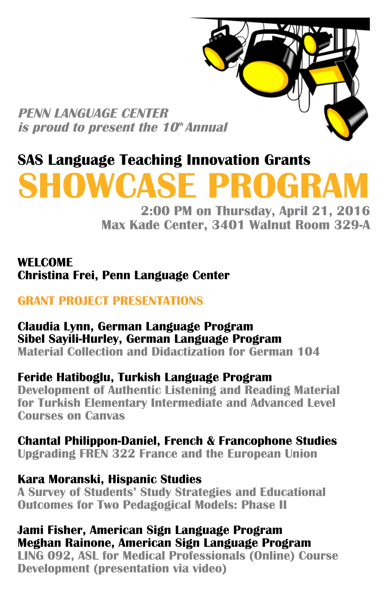**PENN LANGUAGE CENTER is proud to present the 10<sup>th</sup> Annual** 

# **SAS Language Teaching Innovation Grants**

# **SHOWCASE PROGRA**

**2:00 PM on Thursday, April 21, 2016 Max Kade Center, 3401 Walnut Room 329-A**

#### **WELCOME Christina Frei, Penn Language Center**

## **GRANT PROJECT PRESENTATIONS**

#### **Claudia Lynn, German Language Program Sibel Sayili-Hurley, German Language Program Material Collection and Didactization for German 104**

# **Feride Hatiboglu, Turkish Language Program**

**Development of Authentic Listening and Reading Material for Turkish Elementary Intermediate and Advanced Level Courses on Canvas**

# **Chantal Philippon-Daniel, French & Francophone Studies**

**Upgrading FREN 322 France and the European Union**

#### **Kara Moranski, Hispanic Studies**

**A Survey of Students' Study Strategies and Educational Outcomes for Two Pedagogical Models: Phase II**

#### **Jami Fisher, American Sign Language Program Meghan Rainone, American Sign Language Program**

**LING 092, ASL for Medical Professionals (Online) Course Development (presentation via video)**